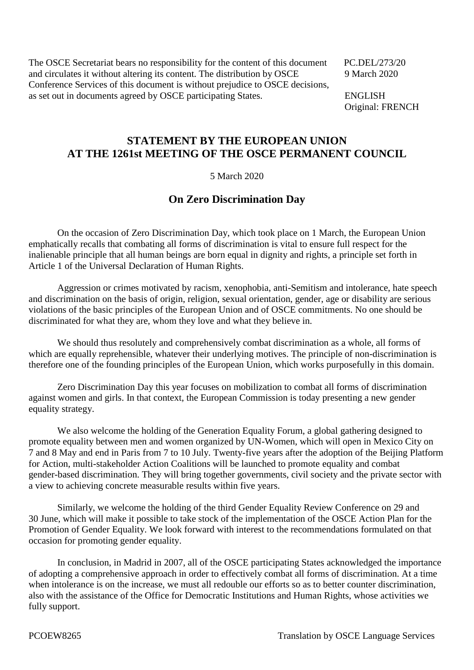The OSCE Secretariat bears no responsibility for the content of this document PC.DEL/273/20 and circulates it without altering its content. The distribution by OSCE 9 March 2020 Conference Services of this document is without prejudice to OSCE decisions, as set out in documents agreed by OSCE participating States. ENGLISH

Original: FRENCH

## **STATEMENT BY THE EUROPEAN UNION AT THE 1261st MEETING OF THE OSCE PERMANENT COUNCIL**

5 March 2020

## **On Zero Discrimination Day**

On the occasion of Zero Discrimination Day, which took place on 1 March, the European Union emphatically recalls that combating all forms of discrimination is vital to ensure full respect for the inalienable principle that all human beings are born equal in dignity and rights, a principle set forth in Article 1 of the Universal Declaration of Human Rights.

Aggression or crimes motivated by racism, xenophobia, anti-Semitism and intolerance, hate speech and discrimination on the basis of origin, religion, sexual orientation, gender, age or disability are serious violations of the basic principles of the European Union and of OSCE commitments. No one should be discriminated for what they are, whom they love and what they believe in.

We should thus resolutely and comprehensively combat discrimination as a whole, all forms of which are equally reprehensible, whatever their underlying motives. The principle of non-discrimination is therefore one of the founding principles of the European Union, which works purposefully in this domain.

Zero Discrimination Day this year focuses on mobilization to combat all forms of discrimination against women and girls. In that context, the European Commission is today presenting a new gender equality strategy.

We also welcome the holding of the Generation Equality Forum, a global gathering designed to promote equality between men and women organized by UN-Women, which will open in Mexico City on 7 and 8 May and end in Paris from 7 to 10 July. Twenty-five years after the adoption of the Beijing Platform for Action, multi-stakeholder Action Coalitions will be launched to promote equality and combat gender-based discrimination. They will bring together governments, civil society and the private sector with a view to achieving concrete measurable results within five years.

Similarly, we welcome the holding of the third Gender Equality Review Conference on 29 and 30 June, which will make it possible to take stock of the implementation of the OSCE Action Plan for the Promotion of Gender Equality. We look forward with interest to the recommendations formulated on that occasion for promoting gender equality.

In conclusion, in Madrid in 2007, all of the OSCE participating States acknowledged the importance of adopting a comprehensive approach in order to effectively combat all forms of discrimination. At a time when intolerance is on the increase, we must all redouble our efforts so as to better counter discrimination, also with the assistance of the Office for Democratic Institutions and Human Rights, whose activities we fully support.